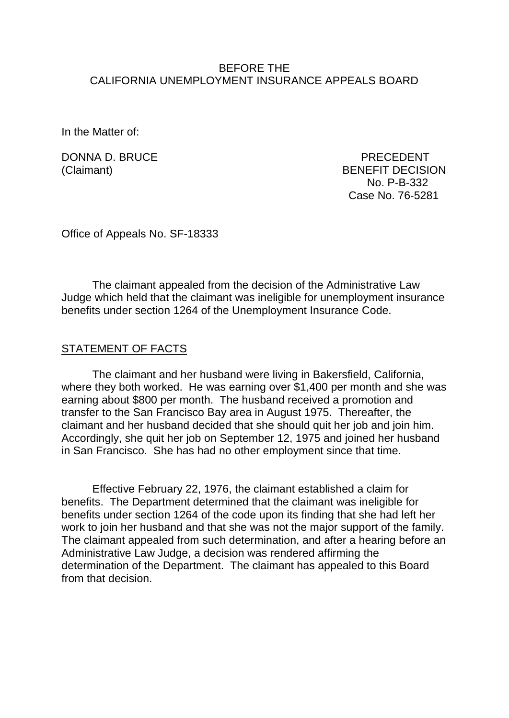### BEFORE THE CALIFORNIA UNEMPLOYMENT INSURANCE APPEALS BOARD

In the Matter of:

DONNA D. BRUCE PRECEDENT

(Claimant) BENEFIT DECISION No. P-B-332 Case No. 76-5281

Office of Appeals No. SF-18333

The claimant appealed from the decision of the Administrative Law Judge which held that the claimant was ineligible for unemployment insurance benefits under section 1264 of the Unemployment Insurance Code.

### STATEMENT OF FACTS

The claimant and her husband were living in Bakersfield, California, where they both worked. He was earning over \$1,400 per month and she was earning about \$800 per month. The husband received a promotion and transfer to the San Francisco Bay area in August 1975. Thereafter, the claimant and her husband decided that she should quit her job and join him. Accordingly, she quit her job on September 12, 1975 and joined her husband in San Francisco. She has had no other employment since that time.

Effective February 22, 1976, the claimant established a claim for benefits. The Department determined that the claimant was ineligible for benefits under section 1264 of the code upon its finding that she had left her work to join her husband and that she was not the major support of the family. The claimant appealed from such determination, and after a hearing before an Administrative Law Judge, a decision was rendered affirming the determination of the Department. The claimant has appealed to this Board from that decision.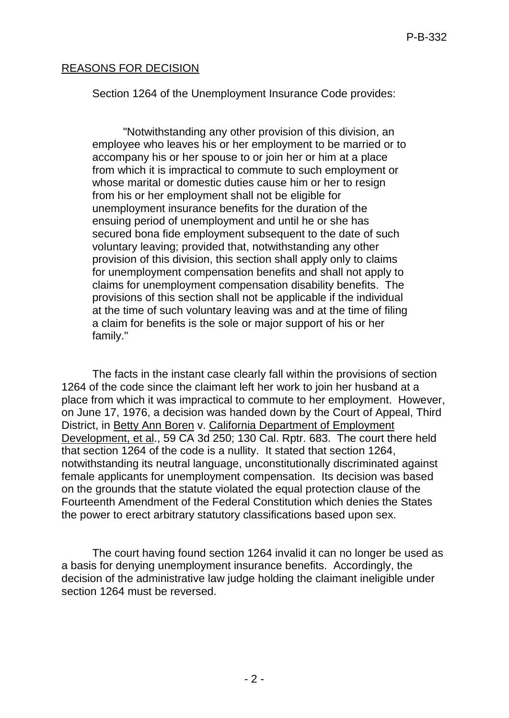## REASONS FOR DECISION

Section 1264 of the Unemployment Insurance Code provides:

"Notwithstanding any other provision of this division, an employee who leaves his or her employment to be married or to accompany his or her spouse to or join her or him at a place from which it is impractical to commute to such employment or whose marital or domestic duties cause him or her to resign from his or her employment shall not be eligible for unemployment insurance benefits for the duration of the ensuing period of unemployment and until he or she has secured bona fide employment subsequent to the date of such voluntary leaving; provided that, notwithstanding any other provision of this division, this section shall apply only to claims for unemployment compensation benefits and shall not apply to claims for unemployment compensation disability benefits. The provisions of this section shall not be applicable if the individual at the time of such voluntary leaving was and at the time of filing a claim for benefits is the sole or major support of his or her family."

The facts in the instant case clearly fall within the provisions of section 1264 of the code since the claimant left her work to join her husband at a place from which it was impractical to commute to her employment. However, on June 17, 1976, a decision was handed down by the Court of Appeal, Third District, in Betty Ann Boren v. California Department of Employment Development, et al., 59 CA 3d 250; 130 Cal. Rptr. 683. The court there held that section 1264 of the code is a nullity. It stated that section 1264, notwithstanding its neutral language, unconstitutionally discriminated against female applicants for unemployment compensation. Its decision was based on the grounds that the statute violated the equal protection clause of the Fourteenth Amendment of the Federal Constitution which denies the States the power to erect arbitrary statutory classifications based upon sex.

The court having found section 1264 invalid it can no longer be used as a basis for denying unemployment insurance benefits. Accordingly, the decision of the administrative law judge holding the claimant ineligible under section 1264 must be reversed.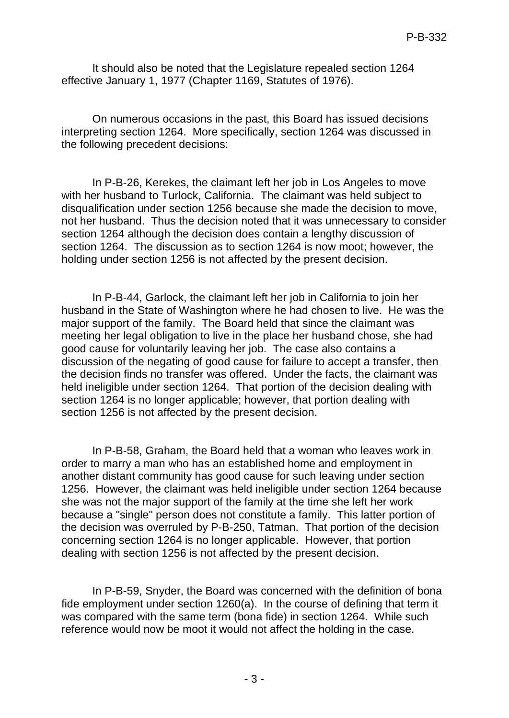It should also be noted that the Legislature repealed section 1264 effective January 1, 1977 (Chapter 1169, Statutes of 1976).

On numerous occasions in the past, this Board has issued decisions interpreting section 1264. More specifically, section 1264 was discussed in the following precedent decisions:

In P-B-26, Kerekes, the claimant left her job in Los Angeles to move with her husband to Turlock, California. The claimant was held subject to disqualification under section 1256 because she made the decision to move, not her husband. Thus the decision noted that it was unnecessary to consider section 1264 although the decision does contain a lengthy discussion of section 1264. The discussion as to section 1264 is now moot; however, the holding under section 1256 is not affected by the present decision.

In P-B-44, Garlock, the claimant left her job in California to join her husband in the State of Washington where he had chosen to live. He was the major support of the family. The Board held that since the claimant was meeting her legal obligation to live in the place her husband chose, she had good cause for voluntarily leaving her job. The case also contains a discussion of the negating of good cause for failure to accept a transfer, then the decision finds no transfer was offered. Under the facts, the claimant was held ineligible under section 1264. That portion of the decision dealing with section 1264 is no longer applicable; however, that portion dealing with section 1256 is not affected by the present decision.

In P-B-58, Graham, the Board held that a woman who leaves work in order to marry a man who has an established home and employment in another distant community has good cause for such leaving under section 1256. However, the claimant was held ineligible under section 1264 because she was not the major support of the family at the time she left her work because a "single" person does not constitute a family. This latter portion of the decision was overruled by P-B-250, Tatman. That portion of the decision concerning section 1264 is no longer applicable. However, that portion dealing with section 1256 is not affected by the present decision.

In P-B-59, Snyder, the Board was concerned with the definition of bona fide employment under section 1260(a). In the course of defining that term it was compared with the same term (bona fide) in section 1264. While such reference would now be moot it would not affect the holding in the case.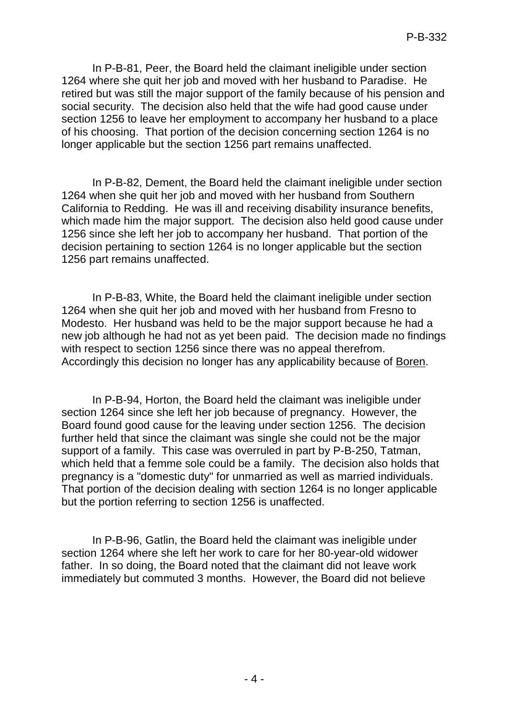In P-B-81, Peer, the Board held the claimant ineligible under section 1264 where she quit her job and moved with her husband to Paradise. He retired but was still the major support of the family because of his pension and social security. The decision also held that the wife had good cause under section 1256 to leave her employment to accompany her husband to a place of his choosing. That portion of the decision concerning section 1264 is no longer applicable but the section 1256 part remains unaffected.

In P-B-82, Dement, the Board held the claimant ineligible under section 1264 when she quit her job and moved with her husband from Southern California to Redding. He was ill and receiving disability insurance benefits, which made him the major support. The decision also held good cause under 1256 since she left her job to accompany her husband. That portion of the decision pertaining to section 1264 is no longer applicable but the section 1256 part remains unaffected.

In P-B-83, White, the Board held the claimant ineligible under section 1264 when she quit her job and moved with her husband from Fresno to Modesto. Her husband was held to be the major support because he had a new job although he had not as yet been paid. The decision made no findings with respect to section 1256 since there was no appeal therefrom. Accordingly this decision no longer has any applicability because of Boren.

In P-B-94, Horton, the Board held the claimant was ineligible under section 1264 since she left her job because of pregnancy. However, the Board found good cause for the leaving under section 1256. The decision further held that since the claimant was single she could not be the major support of a family. This case was overruled in part by P-B-250, Tatman, which held that a femme sole could be a family. The decision also holds that pregnancy is a "domestic duty" for unmarried as well as married individuals. That portion of the decision dealing with section 1264 is no longer applicable but the portion referring to section 1256 is unaffected.

In P-B-96, Gatlin, the Board held the claimant was ineligible under section 1264 where she left her work to care for her 80-year-old widower father. In so doing, the Board noted that the claimant did not leave work immediately but commuted 3 months. However, the Board did not believe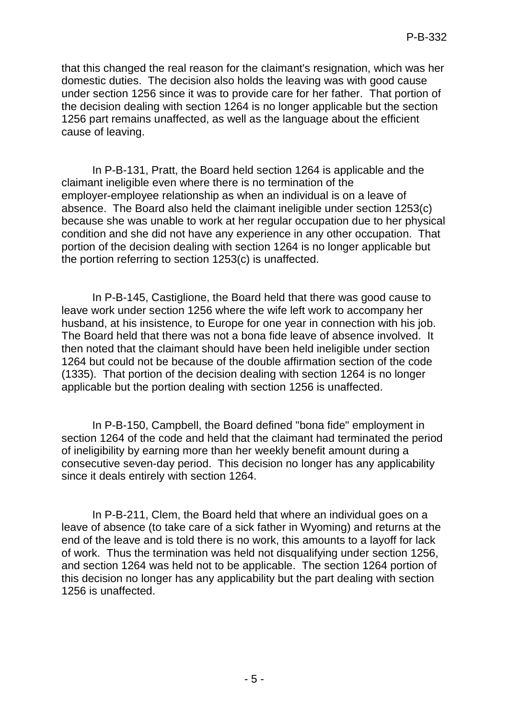that this changed the real reason for the claimant's resignation, which was her domestic duties. The decision also holds the leaving was with good cause under section 1256 since it was to provide care for her father. That portion of the decision dealing with section 1264 is no longer applicable but the section 1256 part remains unaffected, as well as the language about the efficient cause of leaving.

In P-B-131, Pratt, the Board held section 1264 is applicable and the claimant ineligible even where there is no termination of the employer-employee relationship as when an individual is on a leave of absence. The Board also held the claimant ineligible under section 1253(c) because she was unable to work at her regular occupation due to her physical condition and she did not have any experience in any other occupation. That portion of the decision dealing with section 1264 is no longer applicable but the portion referring to section 1253(c) is unaffected.

In P-B-145, Castiglione, the Board held that there was good cause to leave work under section 1256 where the wife left work to accompany her husband, at his insistence, to Europe for one year in connection with his job. The Board held that there was not a bona fide leave of absence involved. It then noted that the claimant should have been held ineligible under section 1264 but could not be because of the double affirmation section of the code (1335). That portion of the decision dealing with section 1264 is no longer applicable but the portion dealing with section 1256 is unaffected.

In P-B-150, Campbell, the Board defined "bona fide" employment in section 1264 of the code and held that the claimant had terminated the period of ineligibility by earning more than her weekly benefit amount during a consecutive seven-day period. This decision no longer has any applicability since it deals entirely with section 1264.

In P-B-211, Clem, the Board held that where an individual goes on a leave of absence (to take care of a sick father in Wyoming) and returns at the end of the leave and is told there is no work, this amounts to a layoff for lack of work. Thus the termination was held not disqualifying under section 1256, and section 1264 was held not to be applicable. The section 1264 portion of this decision no longer has any applicability but the part dealing with section 1256 is unaffected.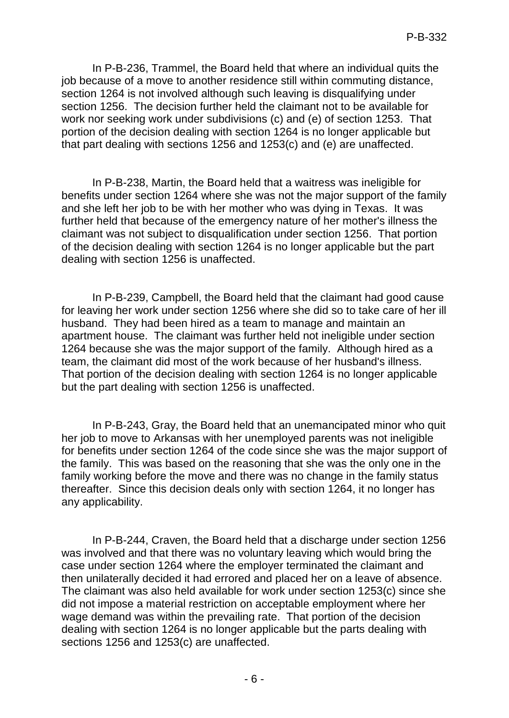In P-B-236, Trammel, the Board held that where an individual quits the job because of a move to another residence still within commuting distance, section 1264 is not involved although such leaving is disqualifying under section 1256. The decision further held the claimant not to be available for work nor seeking work under subdivisions (c) and (e) of section 1253. That portion of the decision dealing with section 1264 is no longer applicable but that part dealing with sections 1256 and 1253(c) and (e) are unaffected.

In P-B-238, Martin, the Board held that a waitress was ineligible for benefits under section 1264 where she was not the major support of the family and she left her job to be with her mother who was dying in Texas. It was further held that because of the emergency nature of her mother's illness the claimant was not subject to disqualification under section 1256. That portion of the decision dealing with section 1264 is no longer applicable but the part dealing with section 1256 is unaffected.

In P-B-239, Campbell, the Board held that the claimant had good cause for leaving her work under section 1256 where she did so to take care of her ill husband. They had been hired as a team to manage and maintain an apartment house. The claimant was further held not ineligible under section 1264 because she was the major support of the family. Although hired as a team, the claimant did most of the work because of her husband's illness. That portion of the decision dealing with section 1264 is no longer applicable but the part dealing with section 1256 is unaffected.

In P-B-243, Gray, the Board held that an unemancipated minor who quit her job to move to Arkansas with her unemployed parents was not ineligible for benefits under section 1264 of the code since she was the major support of the family. This was based on the reasoning that she was the only one in the family working before the move and there was no change in the family status thereafter. Since this decision deals only with section 1264, it no longer has any applicability.

In P-B-244, Craven, the Board held that a discharge under section 1256 was involved and that there was no voluntary leaving which would bring the case under section 1264 where the employer terminated the claimant and then unilaterally decided it had errored and placed her on a leave of absence. The claimant was also held available for work under section 1253(c) since she did not impose a material restriction on acceptable employment where her wage demand was within the prevailing rate. That portion of the decision dealing with section 1264 is no longer applicable but the parts dealing with sections 1256 and 1253(c) are unaffected.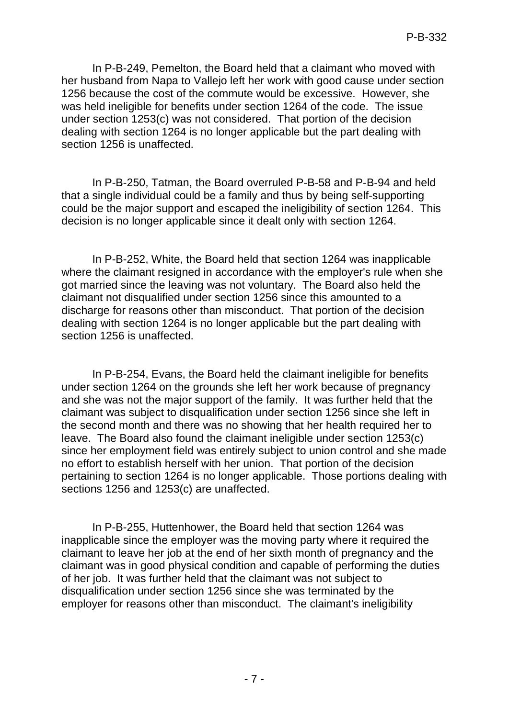In P-B-249, Pemelton, the Board held that a claimant who moved with her husband from Napa to Vallejo left her work with good cause under section 1256 because the cost of the commute would be excessive. However, she was held ineligible for benefits under section 1264 of the code. The issue under section 1253(c) was not considered. That portion of the decision dealing with section 1264 is no longer applicable but the part dealing with section 1256 is unaffected.

In P-B-250, Tatman, the Board overruled P-B-58 and P-B-94 and held that a single individual could be a family and thus by being self-supporting could be the major support and escaped the ineligibility of section 1264. This decision is no longer applicable since it dealt only with section 1264.

In P-B-252, White, the Board held that section 1264 was inapplicable where the claimant resigned in accordance with the employer's rule when she got married since the leaving was not voluntary. The Board also held the claimant not disqualified under section 1256 since this amounted to a discharge for reasons other than misconduct. That portion of the decision dealing with section 1264 is no longer applicable but the part dealing with section 1256 is unaffected.

In P-B-254, Evans, the Board held the claimant ineligible for benefits under section 1264 on the grounds she left her work because of pregnancy and she was not the major support of the family. It was further held that the claimant was subject to disqualification under section 1256 since she left in the second month and there was no showing that her health required her to leave. The Board also found the claimant ineligible under section 1253(c) since her employment field was entirely subject to union control and she made no effort to establish herself with her union. That portion of the decision pertaining to section 1264 is no longer applicable. Those portions dealing with sections 1256 and 1253(c) are unaffected.

In P-B-255, Huttenhower, the Board held that section 1264 was inapplicable since the employer was the moving party where it required the claimant to leave her job at the end of her sixth month of pregnancy and the claimant was in good physical condition and capable of performing the duties of her job. It was further held that the claimant was not subject to disqualification under section 1256 since she was terminated by the employer for reasons other than misconduct. The claimant's ineligibility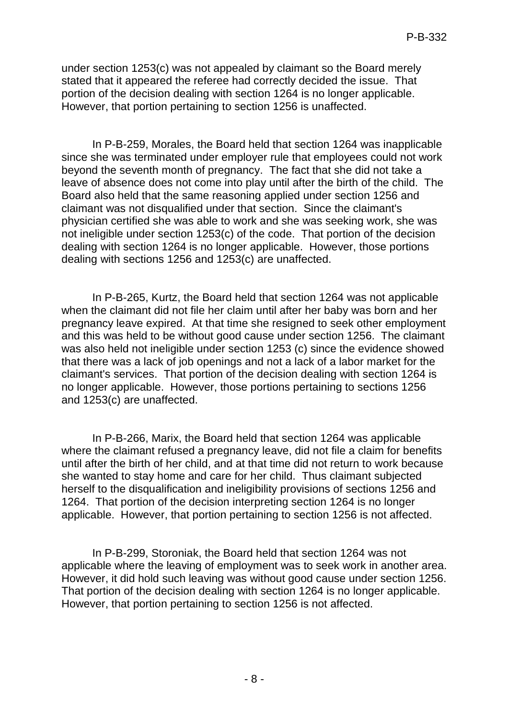under section 1253(c) was not appealed by claimant so the Board merely stated that it appeared the referee had correctly decided the issue. That portion of the decision dealing with section 1264 is no longer applicable. However, that portion pertaining to section 1256 is unaffected.

In P-B-259, Morales, the Board held that section 1264 was inapplicable since she was terminated under employer rule that employees could not work beyond the seventh month of pregnancy. The fact that she did not take a leave of absence does not come into play until after the birth of the child. The Board also held that the same reasoning applied under section 1256 and claimant was not disqualified under that section. Since the claimant's physician certified she was able to work and she was seeking work, she was not ineligible under section 1253(c) of the code. That portion of the decision dealing with section 1264 is no longer applicable. However, those portions dealing with sections 1256 and 1253(c) are unaffected.

In P-B-265, Kurtz, the Board held that section 1264 was not applicable when the claimant did not file her claim until after her baby was born and her pregnancy leave expired. At that time she resigned to seek other employment and this was held to be without good cause under section 1256. The claimant was also held not ineligible under section 1253 (c) since the evidence showed that there was a lack of job openings and not a lack of a labor market for the claimant's services. That portion of the decision dealing with section 1264 is no longer applicable. However, those portions pertaining to sections 1256 and 1253(c) are unaffected.

In P-B-266, Marix, the Board held that section 1264 was applicable where the claimant refused a pregnancy leave, did not file a claim for benefits until after the birth of her child, and at that time did not return to work because she wanted to stay home and care for her child. Thus claimant subjected herself to the disqualification and ineligibility provisions of sections 1256 and 1264. That portion of the decision interpreting section 1264 is no longer applicable. However, that portion pertaining to section 1256 is not affected.

In P-B-299, Storoniak, the Board held that section 1264 was not applicable where the leaving of employment was to seek work in another area. However, it did hold such leaving was without good cause under section 1256. That portion of the decision dealing with section 1264 is no longer applicable. However, that portion pertaining to section 1256 is not affected.